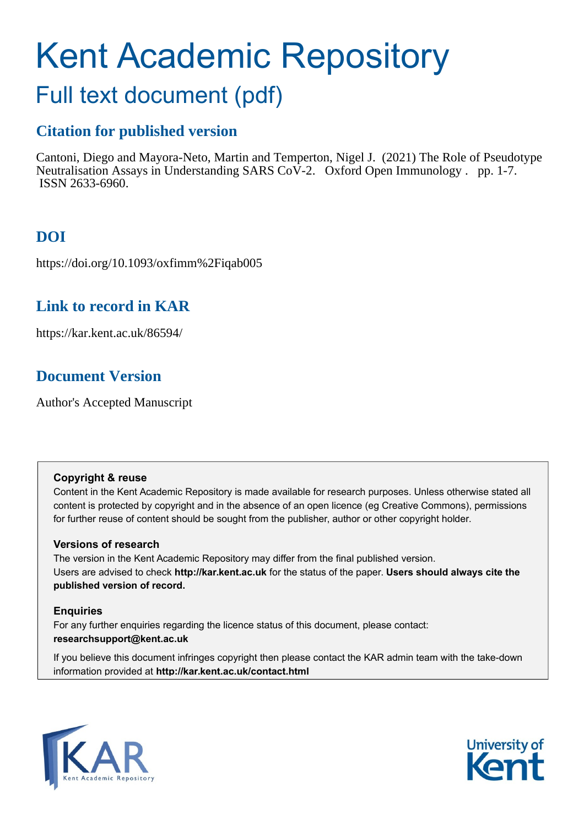# Kent Academic Repository

## Full text document (pdf)

## **Citation for published version**

Cantoni, Diego and Mayora-Neto, Martin and Temperton, Nigel J. (2021) The Role of Pseudotype Neutralisation Assays in Understanding SARS CoV-2. Oxford Open Immunology . pp. 1-7. ISSN 2633-6960.

## **DOI**

https://doi.org/10.1093/oxfimm%2Fiqab005

### **Link to record in KAR**

https://kar.kent.ac.uk/86594/

## **Document Version**

Author's Accepted Manuscript

#### **Copyright & reuse**

Content in the Kent Academic Repository is made available for research purposes. Unless otherwise stated all content is protected by copyright and in the absence of an open licence (eg Creative Commons), permissions for further reuse of content should be sought from the publisher, author or other copyright holder.

#### **Versions of research**

The version in the Kent Academic Repository may differ from the final published version. Users are advised to check **http://kar.kent.ac.uk** for the status of the paper. **Users should always cite the published version of record.**

#### **Enquiries**

For any further enquiries regarding the licence status of this document, please contact: **researchsupport@kent.ac.uk**

If you believe this document infringes copyright then please contact the KAR admin team with the take-down information provided at **http://kar.kent.ac.uk/contact.html**



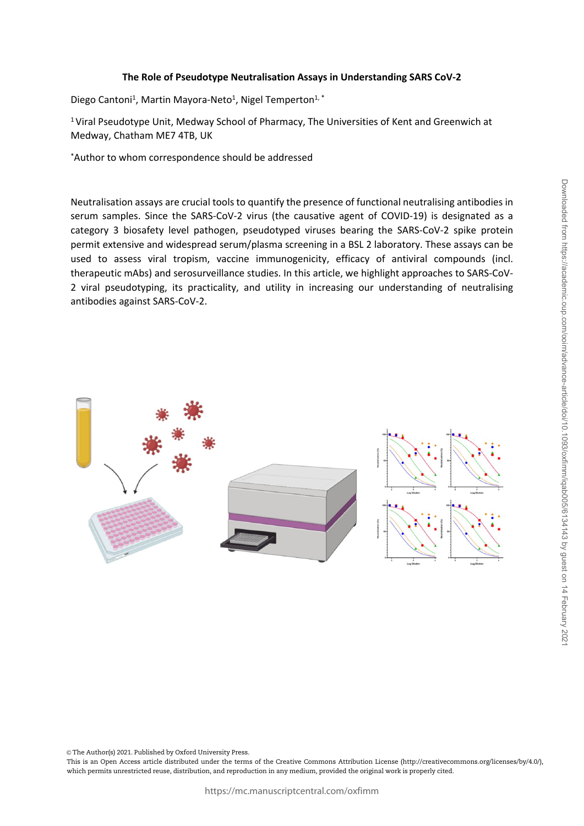#### **The Role of Pseudotype Neutralisation Assays in Understanding SARS CoV-2**

Diego Cantoni<sup>1</sup>, Martin Mayora-Neto<sup>1</sup>, Nigel Temperton<sup>1,\*</sup>

<sup>1</sup> Viral Pseudotype Unit, Medway School of Pharmacy, The Universities of Kent and Greenwich at Medway, Chatham ME7 4TB, UK

\*Author to whom correspondence should be addressed

Neutralisation assays are crucial tools to quantify the presence of functional neutralising antibodies in serum samples. Since the SARS-CoV-2 virus (the causative agent of COVID-19) is designated as a category 3 biosafety level pathogen, pseudotyped viruses bearing the SARS-CoV-2 spike protein permit extensive and widespread serum/plasma screening in a BSL 2 laboratory. These assays can be used to assess viral tropism, vaccine immunogenicity, efficacy of antiviral compounds (incl. therapeutic mAbs) and serosurveillance studies. In this article, we highlight approaches to SARS-CoV-2 viral pseudotyping, its practicality, and utility in increasing our understanding of neutralising antibodies against SARS-CoV-2.



© The Author(s) 2021. Published by Oxford University Press.

This is an Open Access article distributed under the terms of the Creative Commons Attribution License (http://creativecommons.org/licenses/by/4.0/), which permits unrestricted reuse, distribution, and reproduction in any medium, provided the original work is properly cited.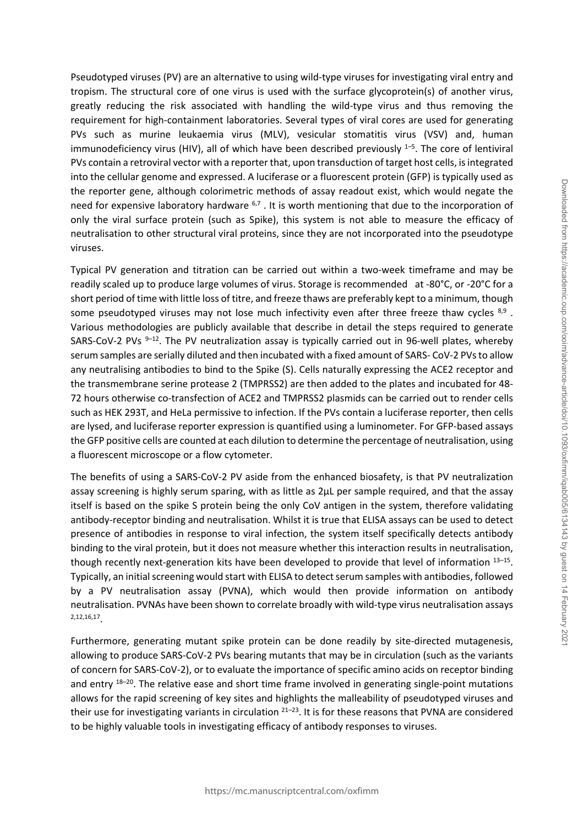Pseudotyped viruses (PV) are an alternative to using wild-type viruses for investigating viral entry and tropism. The structural core of one virus is used with the surface glycoprotein(s) of another virus, greatly reducing the risk associated with handling the wild-type virus and thus removing the requirement for high-containment laboratories. Several types of viral cores are used for generating PVs such as murine leukaemia virus (MLV), vesicular stomatitis virus (VSV) and, human immunodeficiency virus (HIV), all of which have been described previously  $1-5$ . The core of lentiviral PVs contain a retroviral vector with a reporter that, upon transduction of target host cells, is integrated into the cellular genome and expressed. A luciferase or a fluorescent protein (GFP) is typically used as the reporter gene, although colorimetric methods of assay readout exist, which would negate the need for expensive laboratory hardware <sup>6,7</sup>. It is worth mentioning that due to the incorporation of only the viral surface protein (such as Spike), this system is not able to measure the efficacy of neutralisation to other structural viral proteins, since they are not incorporated into the pseudotype viruses.

Typical PV generation and titration can be carried out within a two-week timeframe and may be readily scaled up to produce large volumes of virus. Storage is recommended at -80°C, or -20°C for a short period of time with little loss of titre, and freeze thaws are preferably kept to a minimum, though some pseudotyped viruses may not lose much infectivity even after three freeze thaw cycles 8,9. Various methodologies are publicly available that describe in detail the steps required to generate SARS-CoV-2 PVs  $9-12$ . The PV neutralization assay is typically carried out in 96-well plates, whereby serum samples are serially diluted and then incubated with a fixed amount of SARS- CoV-2 PVs to allow any neutralising antibodies to bind to the Spike (S). Cells naturally expressing the ACE2 receptor and the transmembrane serine protease 2 (TMPRSS2) are then added to the plates and incubated for 48- 72 hours otherwise co-transfection of ACE2 and TMPRSS2 plasmids can be carried out to render cells such as HEK 293T, and HeLa permissive to infection. If the PVs contain a luciferase reporter, then cells are lysed, and luciferase reporter expression is quantified using a luminometer. For GFP-based assays the GFP positive cells are counted at each dilution to determine the percentage of neutralisation, using a fluorescent microscope or a flow cytometer.

The benefits of using a SARS-CoV-2 PV aside from the enhanced biosafety, is that PV neutralization assay screening is highly serum sparing, with as little as 2µL per sample required, and that the assay itself is based on the spike S protein being the only CoV antigen in the system, therefore validating antibody-receptor binding and neutralisation. Whilst it is true that ELISA assays can be used to detect presence of antibodies in response to viral infection, the system itself specifically detects antibody binding to the viral protein, but it does not measure whether this interaction results in neutralisation, though recently next-generation kits have been developed to provide that level of information 13-15. Typically, an initial screening would start with ELISA to detect serum samples with antibodies, followed by a PV neutralisation assay (PVNA), which would then provide information on antibody neutralisation. PVNAs have been shown to correlate broadly with wild-type virus neutralisation assays 2,12,16,17 .

Furthermore, generating mutant spike protein can be done readily by site-directed mutagenesis, allowing to produce SARS-CoV-2 PVs bearing mutants that may be in circulation (such as the variants of concern for SARS-CoV-2), or to evaluate the importance of specific amino acids on receptor binding and entry  $18-20$ . The relative ease and short time frame involved in generating single-point mutations allows for the rapid screening of key sites and highlights the malleability of pseudotyped viruses and their use for investigating variants in circulation  $21-23$ . It is for these reasons that PVNA are considered to be highly valuable tools in investigating efficacy of antibody responses to viruses.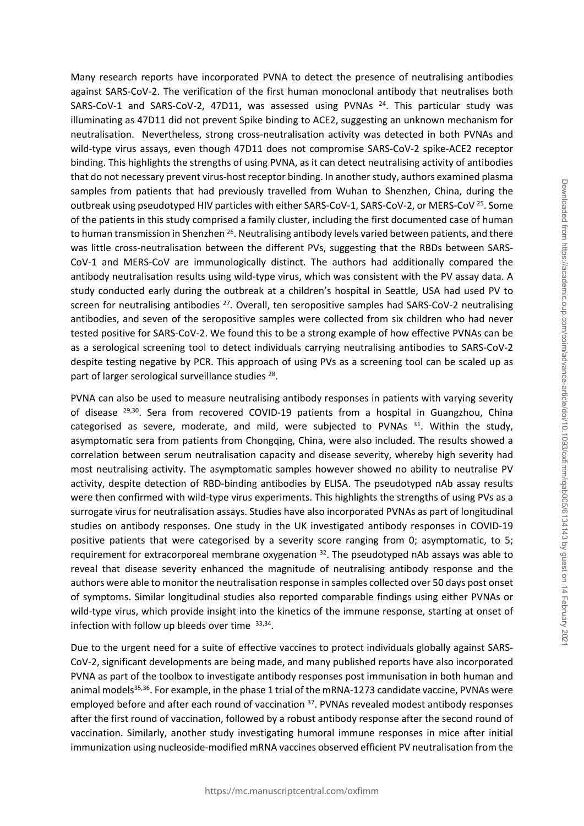Many research reports have incorporated PVNA to detect the presence of neutralising antibodies against SARS-CoV-2. The verification of the first human monoclonal antibody that neutralises both SARS-CoV-1 and SARS-CoV-2, 47D11, was assessed using PVNAs  $^{24}$ . This particular study was illuminating as 47D11 did not prevent Spike binding to ACE2, suggesting an unknown mechanism for neutralisation. Nevertheless, strong cross-neutralisation activity was detected in both PVNAs and wild-type virus assays, even though 47D11 does not compromise SARS-CoV-2 spike-ACE2 receptor binding. This highlights the strengths of using PVNA, as it can detect neutralising activity of antibodies that do not necessary prevent virus-host receptor binding. In another study, authors examined plasma samples from patients that had previously travelled from Wuhan to Shenzhen, China, during the outbreak using pseudotyped HIV particles with either SARS-CoV-1, SARS-CoV-2, or MERS-CoV <sup>25</sup>. Some of the patients in this study comprised a family cluster, including the first documented case of human to human transmission in Shenzhen <sup>26</sup>. Neutralising antibody levels varied between patients, and there was little cross-neutralisation between the different PVs, suggesting that the RBDs between SARS-CoV-1 and MERS-CoV are immunologically distinct. The authors had additionally compared the antibody neutralisation results using wild-type virus, which was consistent with the PV assay data. A study conducted early during the outbreak at a children's hospital in Seattle, USA had used PV to screen for neutralising antibodies <sup>27</sup>. Overall, ten seropositive samples had SARS-CoV-2 neutralising antibodies, and seven of the seropositive samples were collected from six children who had never tested positive for SARS-CoV-2. We found this to be a strong example of how effective PVNAs can be as a serological screening tool to detect individuals carrying neutralising antibodies to SARS-CoV-2 despite testing negative by PCR. This approach of using PVs as a screening tool can be scaled up as part of larger serological surveillance studies<sup>28</sup>.

PVNA can also be used to measure neutralising antibody responses in patients with varying severity of disease <sup>29,30</sup>. Sera from recovered COVID-19 patients from a hospital in Guangzhou, China categorised as severe, moderate, and mild, were subjected to PVNAs  $31$ . Within the study, asymptomatic sera from patients from Chongqing, China, were also included. The results showed a correlation between serum neutralisation capacity and disease severity, whereby high severity had most neutralising activity. The asymptomatic samples however showed no ability to neutralise PV activity, despite detection of RBD-binding antibodies by ELISA. The pseudotyped nAb assay results were then confirmed with wild-type virus experiments. This highlights the strengths of using PVs as a surrogate virus for neutralisation assays. Studies have also incorporated PVNAs as part of longitudinal studies on antibody responses. One study in the UK investigated antibody responses in COVID-19 positive patients that were categorised by a severity score ranging from 0; asymptomatic, to 5; requirement for extracorporeal membrane oxygenation  $32$ . The pseudotyped nAb assays was able to reveal that disease severity enhanced the magnitude of neutralising antibody response and the authors were able to monitor the neutralisation response in samples collected over 50 days post onset of symptoms. Similar longitudinal studies also reported comparable findings using either PVNAs or wild-type virus, which provide insight into the kinetics of the immune response, starting at onset of infection with follow up bleeds over time 33,34.

Due to the urgent need for a suite of effective vaccines to protect individuals globally against SARS-CoV-2, significant developments are being made, and many published reports have also incorporated PVNA as part of the toolbox to investigate antibody responses post immunisation in both human and animal models<sup>35,36</sup>. For example, in the phase 1 trial of the mRNA-1273 candidate vaccine, PVNAs were employed before and after each round of vaccination <sup>37</sup>. PVNAs revealed modest antibody responses after the first round of vaccination, followed by a robust antibody response after the second round of vaccination. Similarly, another study investigating humoral immune responses in mice after initial immunization using nucleoside-modified mRNA vaccines observed efficient PV neutralisation from the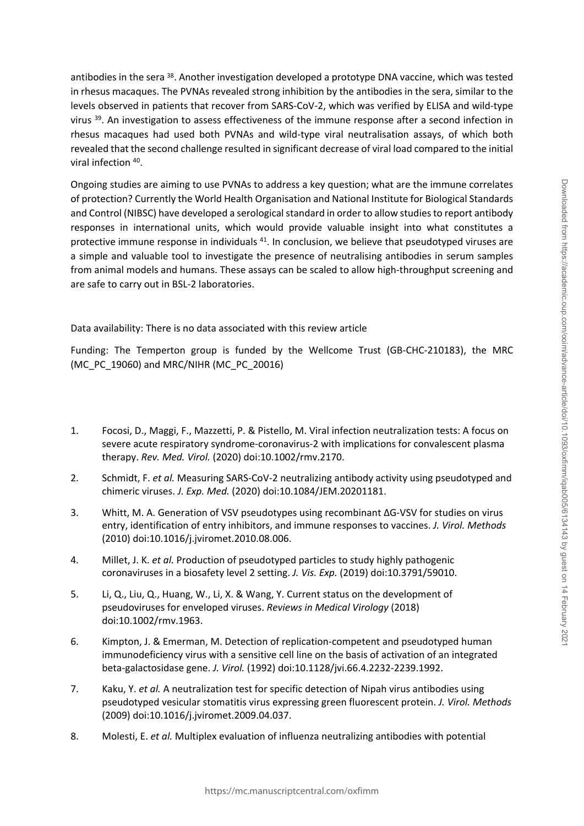antibodies in the sera 38. Another investigation developed a prototype DNA vaccine, which was tested in rhesus macaques. The PVNAs revealed strong inhibition by the antibodies in the sera, similar to the levels observed in patients that recover from SARS-CoV-2, which was verified by ELISA and wild-type virus <sup>39</sup>. An investigation to assess effectiveness of the immune response after a second infection in rhesus macaques had used both PVNAs and wild-type viral neutralisation assays, of which both revealed that the second challenge resulted in significant decrease of viral load compared to the initial viral infection <sup>40</sup>.

Ongoing studies are aiming to use PVNAs to address a key question; what are the immune correlates of protection? Currently the World Health Organisation and National Institute for Biological Standards and Control (NIBSC) have developed a serological standard in order to allow studies to report antibody responses in international units, which would provide valuable insight into what constitutes a protective immune response in individuals <sup>41</sup>. In conclusion, we believe that pseudotyped viruses are a simple and valuable tool to investigate the presence of neutralising antibodies in serum samples from animal models and humans. These assays can be scaled to allow high-throughput screening and are safe to carry out in BSL-2 laboratories.

Data availability: There is no data associated with this review article

Funding: The Temperton group is funded by the Wellcome Trust (GB-CHC-210183), the MRC (MC\_PC\_19060) and MRC/NIHR (MC\_PC\_20016)

- 1. Focosi, D., Maggi, F., Mazzetti, P. & Pistello, M. Viral infection neutralization tests: A focus on severe acute respiratory syndrome-coronavirus-2 with implications for convalescent plasma therapy. *Rev. Med. Virol.* (2020) doi:10.1002/rmv.2170.
- 2. Schmidt, F. *et al.* Measuring SARS-CoV-2 neutralizing antibody activity using pseudotyped and chimeric viruses. *J. Exp. Med.* (2020) doi:10.1084/JEM.20201181.
- 3. Whitt, M. A. Generation of VSV pseudotypes using recombinant ΔG-VSV for studies on virus entry, identification of entry inhibitors, and immune responses to vaccines. *J. Virol. Methods* (2010) doi:10.1016/j.jviromet.2010.08.006.
- 4. Millet, J. K. *et al.* Production of pseudotyped particles to study highly pathogenic coronaviruses in a biosafety level 2 setting. *J. Vis. Exp.* (2019) doi:10.3791/59010.
- 5. Li, Q., Liu, Q., Huang, W., Li, X. & Wang, Y. Current status on the development of pseudoviruses for enveloped viruses. *Reviews in Medical Virology* (2018) doi:10.1002/rmv.1963.
- 6. Kimpton, J. & Emerman, M. Detection of replication-competent and pseudotyped human immunodeficiency virus with a sensitive cell line on the basis of activation of an integrated beta-galactosidase gene. *J. Virol.* (1992) doi:10.1128/jvi.66.4.2232-2239.1992.
- 7. Kaku, Y. *et al.* A neutralization test for specific detection of Nipah virus antibodies using pseudotyped vesicular stomatitis virus expressing green fluorescent protein. *J. Virol. Methods* (2009) doi:10.1016/j.jviromet.2009.04.037.
- 8. Molesti, E. *et al.* Multiplex evaluation of influenza neutralizing antibodies with potential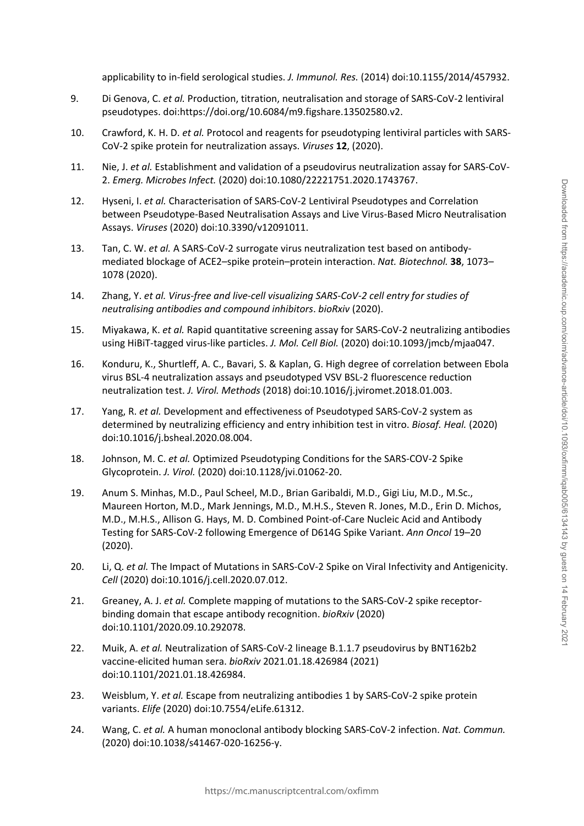applicability to in-field serological studies. *J. Immunol. Res.* (2014) doi:10.1155/2014/457932.

- 9. Di Genova, C. *et al.* Production, titration, neutralisation and storage of SARS-CoV-2 lentiviral pseudotypes. doi:https://doi.org/10.6084/m9.figshare.13502580.v2.
- 10. Crawford, K. H. D. *et al.* Protocol and reagents for pseudotyping lentiviral particles with SARS-CoV-2 spike protein for neutralization assays. *Viruses* **12**, (2020).
- 11. Nie, J. *et al.* Establishment and validation of a pseudovirus neutralization assay for SARS-CoV-2. *Emerg. Microbes Infect.* (2020) doi:10.1080/22221751.2020.1743767.
- 12. Hyseni, I. *et al.* Characterisation of SARS-CoV-2 Lentiviral Pseudotypes and Correlation between Pseudotype-Based Neutralisation Assays and Live Virus-Based Micro Neutralisation Assays. *Viruses* (2020) doi:10.3390/v12091011.
- 13. Tan, C. W. *et al.* A SARS-CoV-2 surrogate virus neutralization test based on antibodymediated blockage of ACE2–spike protein–protein interaction. *Nat. Biotechnol.* **38**, 1073– 1078 (2020).
- 14. Zhang, Y. *et al. Virus-free and live-cell visualizing SARS-CoV-2 cell entry for studies of neutralising antibodies and compound inhibitors*. *bioRxiv* (2020).
- 15. Miyakawa, K. *et al.* Rapid quantitative screening assay for SARS-CoV-2 neutralizing antibodies using HiBiT-tagged virus-like particles. *J. Mol. Cell Biol.* (2020) doi:10.1093/jmcb/mjaa047.
- 16. Konduru, K., Shurtleff, A. C., Bavari, S. & Kaplan, G. High degree of correlation between Ebola virus BSL-4 neutralization assays and pseudotyped VSV BSL-2 fluorescence reduction neutralization test. *J. Virol. Methods* (2018) doi:10.1016/j.jviromet.2018.01.003.
- 17. Yang, R. *et al.* Development and effectiveness of Pseudotyped SARS-CoV-2 system as determined by neutralizing efficiency and entry inhibition test in vitro. *Biosaf. Heal.* (2020) doi:10.1016/j.bsheal.2020.08.004.
- 18. Johnson, M. C. *et al.* Optimized Pseudotyping Conditions for the SARS-COV-2 Spike Glycoprotein. *J. Virol.* (2020) doi:10.1128/jvi.01062-20.
- 19. Anum S. Minhas, M.D., Paul Scheel, M.D., Brian Garibaldi, M.D., Gigi Liu, M.D., M.Sc., Maureen Horton, M.D., Mark Jennings, M.D., M.H.S., Steven R. Jones, M.D., Erin D. Michos, M.D., M.H.S., Allison G. Hays, M. D. Combined Point-of-Care Nucleic Acid and Antibody Testing for SARS-CoV-2 following Emergence of D614G Spike Variant. *Ann Oncol* 19–20 (2020).
- 20. Li, Q. *et al.* The Impact of Mutations in SARS-CoV-2 Spike on Viral Infectivity and Antigenicity. *Cell* (2020) doi:10.1016/j.cell.2020.07.012.
- 21. Greaney, A. J. *et al.* Complete mapping of mutations to the SARS-CoV-2 spike receptorbinding domain that escape antibody recognition. *bioRxiv* (2020) doi:10.1101/2020.09.10.292078.
- 22. Muik, A. *et al.* Neutralization of SARS-CoV-2 lineage B.1.1.7 pseudovirus by BNT162b2 vaccine-elicited human sera. *bioRxiv* 2021.01.18.426984 (2021) doi:10.1101/2021.01.18.426984.
- 23. Weisblum, Y. *et al.* Escape from neutralizing antibodies 1 by SARS-CoV-2 spike protein variants. *Elife* (2020) doi:10.7554/eLife.61312.
- 24. Wang, C. *et al.* A human monoclonal antibody blocking SARS-CoV-2 infection. *Nat. Commun.* (2020) doi:10.1038/s41467-020-16256-y.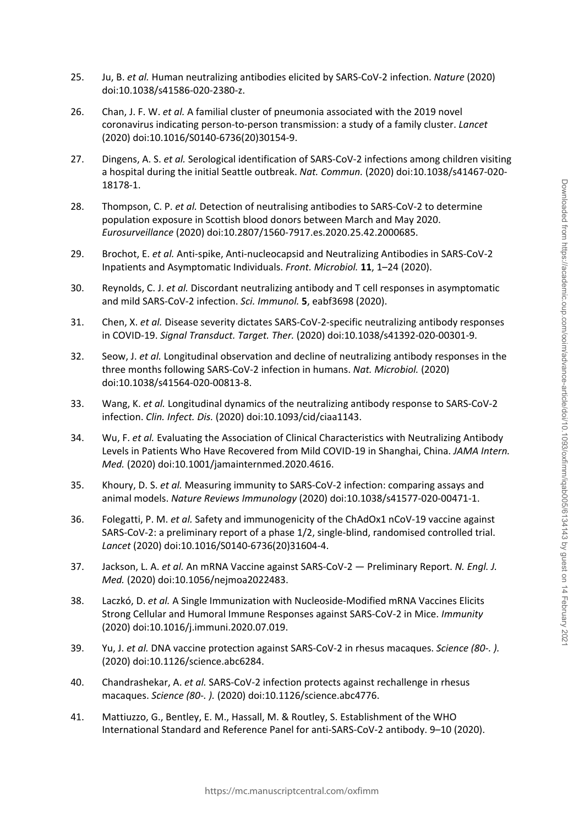- 25. Ju, B. *et al.* Human neutralizing antibodies elicited by SARS-CoV-2 infection. *Nature* (2020) doi:10.1038/s41586-020-2380-z.
- 26. Chan, J. F. W. *et al.* A familial cluster of pneumonia associated with the 2019 novel coronavirus indicating person-to-person transmission: a study of a family cluster. *Lancet* (2020) doi:10.1016/S0140-6736(20)30154-9.
- 27. Dingens, A. S. *et al.* Serological identification of SARS-CoV-2 infections among children visiting a hospital during the initial Seattle outbreak. *Nat. Commun.* (2020) doi:10.1038/s41467-020- 18178-1.
- 28. Thompson, C. P. *et al.* Detection of neutralising antibodies to SARS-CoV-2 to determine population exposure in Scottish blood donors between March and May 2020. *Eurosurveillance* (2020) doi:10.2807/1560-7917.es.2020.25.42.2000685.
- 29. Brochot, E. *et al.* Anti-spike, Anti-nucleocapsid and Neutralizing Antibodies in SARS-CoV-2 Inpatients and Asymptomatic Individuals. *Front. Microbiol.* **11**, 1–24 (2020).
- 30. Reynolds, C. J. *et al.* Discordant neutralizing antibody and T cell responses in asymptomatic and mild SARS-CoV-2 infection. *Sci. Immunol.* **5**, eabf3698 (2020).
- 31. Chen, X. *et al.* Disease severity dictates SARS-CoV-2-specific neutralizing antibody responses in COVID-19. *Signal Transduct. Target. Ther.* (2020) doi:10.1038/s41392-020-00301-9.
- 32. Seow, J. *et al.* Longitudinal observation and decline of neutralizing antibody responses in the three months following SARS-CoV-2 infection in humans. *Nat. Microbiol.* (2020) doi:10.1038/s41564-020-00813-8.
- 33. Wang, K. *et al.* Longitudinal dynamics of the neutralizing antibody response to SARS-CoV-2 infection. *Clin. Infect. Dis.* (2020) doi:10.1093/cid/ciaa1143.
- 34. Wu, F. *et al.* Evaluating the Association of Clinical Characteristics with Neutralizing Antibody Levels in Patients Who Have Recovered from Mild COVID-19 in Shanghai, China. *JAMA Intern. Med.* (2020) doi:10.1001/jamainternmed.2020.4616.
- 35. Khoury, D. S. *et al.* Measuring immunity to SARS-CoV-2 infection: comparing assays and animal models. *Nature Reviews Immunology* (2020) doi:10.1038/s41577-020-00471-1.
- 36. Folegatti, P. M. *et al.* Safety and immunogenicity of the ChAdOx1 nCoV-19 vaccine against SARS-CoV-2: a preliminary report of a phase 1/2, single-blind, randomised controlled trial. *Lancet* (2020) doi:10.1016/S0140-6736(20)31604-4.
- 37. Jackson, L. A. *et al.* An mRNA Vaccine against SARS-CoV-2 Preliminary Report. *N. Engl. J. Med.* (2020) doi:10.1056/nejmoa2022483.
- 38. Laczkó, D. *et al.* A Single Immunization with Nucleoside-Modified mRNA Vaccines Elicits Strong Cellular and Humoral Immune Responses against SARS-CoV-2 in Mice. *Immunity* (2020) doi:10.1016/j.immuni.2020.07.019.
- 39. Yu, J. *et al.* DNA vaccine protection against SARS-CoV-2 in rhesus macaques. *Science (80-. ).* (2020) doi:10.1126/science.abc6284.
- 40. Chandrashekar, A. *et al.* SARS-CoV-2 infection protects against rechallenge in rhesus macaques. *Science (80-. ).* (2020) doi:10.1126/science.abc4776.
- 41. Mattiuzzo, G., Bentley, E. M., Hassall, M. & Routley, S. Establishment of the WHO International Standard and Reference Panel for anti-SARS-CoV-2 antibody. 9–10 (2020).